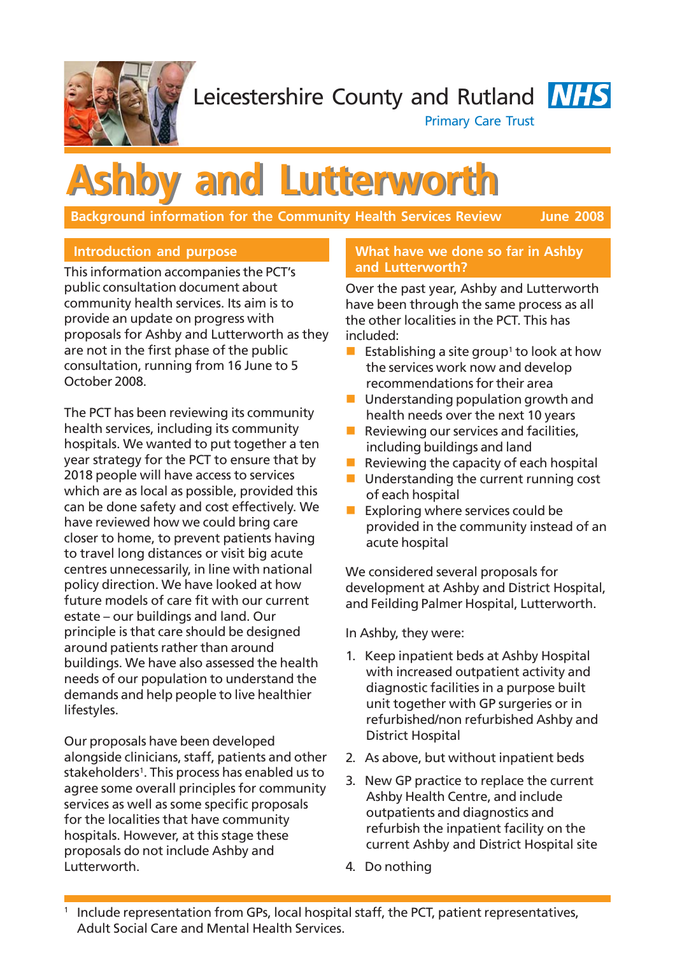

Leicestershire County and Rutland **NHS** 



Primary Care Trust

# **Ashby and Lutterworth Ashby and Lutterworth**

**Background information for the Community Health Services Review June 2008** 

# **Introduction and purpose**

This information accompanies the PCT's public consultation document about community health services. Its aim is to provide an update on progress with proposals for Ashby and Lutterworth as they are not in the first phase of the public consultation, running from 16 June to 5 October 2008.

The PCT has been reviewing its community health services, including its community hospitals. We wanted to put together a ten year strategy for the PCT to ensure that by 2018 people will have access to services which are as local as possible, provided this can be done safety and cost effectively. We have reviewed how we could bring care closer to home, to prevent patients having to travel long distances or visit big acute centres unnecessarily, in line with national policy direction. We have looked at how future models of care fit with our current estate – our buildings and land. Our principle is that care should be designed around patients rather than around buildings. We have also assessed the health needs of our population to understand the demands and help people to live healthier lifestyles.

Our proposals have been developed alongside clinicians, staff, patients and other stakeholders<sup>1</sup>. This process has enabled us to agree some overall principles for community services as well as some specific proposals for the localities that have community hospitals. However, at this stage these proposals do not include Ashby and Lutterworth.

### **What have we done so far in Ashby and Lutterworth?**

Over the past year, Ashby and Lutterworth have been through the same process as all the other localities in the PCT. This has included:

- Establishing a site group<sup>1</sup> to look at how the services work now and develop recommendations for their area
- **Understanding population growth and** health needs over the next 10 years
- Reviewing our services and facilities, including buildings and land
- Reviewing the capacity of each hospital
- $\blacksquare$  Understanding the current running cost of each hospital
- Exploring where services could be provided in the community instead of an acute hospital

We considered several proposals for development at Ashby and District Hospital, and Feilding Palmer Hospital, Lutterworth.

In Ashby, they were:

- 1. Keep inpatient beds at Ashby Hospital with increased outpatient activity and diagnostic facilities in a purpose built unit together with GP surgeries or in refurbished/non refurbished Ashby and District Hospital
- 2. As above, but without inpatient beds
- 3. New GP practice to replace the current Ashby Health Centre, and include outpatients and diagnostics and refurbish the inpatient facility on the current Ashby and District Hospital site
- 4. Do nothing

<sup>&</sup>lt;sup>1</sup> Include representation from GPs, local hospital staff, the PCT, patient representatives, Adult Social Care and Mental Health Services.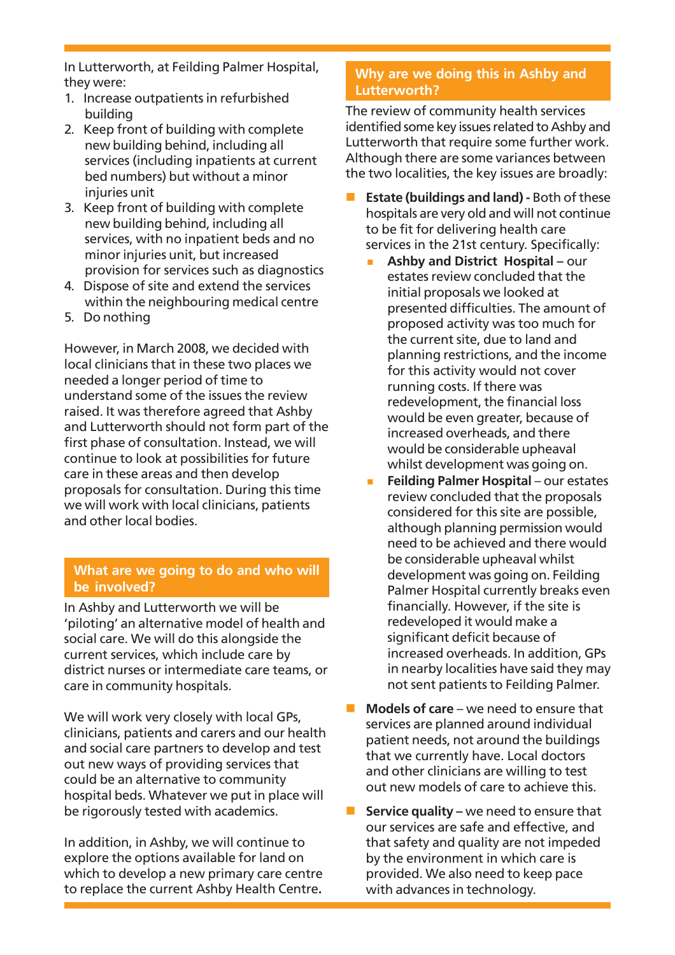In Lutterworth, at Feilding Palmer Hospital, they were:

- 1. Increase outpatients in refurbished building
- 2. Keep front of building with complete new building behind, including all services (including inpatients at current bed numbers) but without a minor iniuries unit
- 3. Keep front of building with complete new building behind, including all services, with no inpatient beds and no minor injuries unit, but increased provision for services such as diagnostics
- 4. Dispose of site and extend the services within the neighbouring medical centre
- 5. Do nothing

However, in March 2008, we decided with local clinicians that in these two places we needed a longer period of time to understand some of the issues the review raised. It was therefore agreed that Ashby and Lutterworth should not form part of the first phase of consultation. Instead, we will continue to look at possibilities for future care in these areas and then develop proposals for consultation. During this time we will work with local clinicians, patients and other local bodies.

## **What are we going to do and who will be involved?**

In Ashby and Lutterworth we will be 'piloting' an alternative model of health and social care. We will do this alongside the current services, which include care by district nurses or intermediate care teams, or care in community hospitals.

We will work very closely with local GPs, clinicians, patients and carers and our health and social care partners to develop and test out new ways of providing services that could be an alternative to community hospital beds. Whatever we put in place will be rigorously tested with academics.

In addition, in Ashby, we will continue to explore the options available for land on which to develop a new primary care centre to replace the current Ashby Health Centre**.**

# **Why are we doing this in Ashby and Lutterworth?**

The review of community health services identified some key issues related to Ashby and Lutterworth that require some further work. Although there are some variances between the two localities, the key issues are broadly:

- **Estate (buildings and land)** Both of these hospitals are very old and will not continue to be fit for delivering health care services in the 21st century. Specifically:
	- **Ashby and District Hospital** our estates review concluded that the initial proposals we looked at presented difficulties. The amount of proposed activity was too much for the current site, due to land and planning restrictions, and the income for this activity would not cover running costs. If there was redevelopment, the financial loss would be even greater, because of increased overheads, and there would be considerable upheaval whilst development was going on.
	- **Feilding Palmer Hospital** our estates review concluded that the proposals considered for this site are possible, although planning permission would need to be achieved and there would be considerable upheaval whilst development was going on. Feilding Palmer Hospital currently breaks even financially. However, if the site is redeveloped it would make a significant deficit because of increased overheads. In addition, GPs in nearby localities have said they may not sent patients to Feilding Palmer.
- **Models of care** we need to ensure that services are planned around individual patient needs, not around the buildings that we currently have. Local doctors and other clinicians are willing to test out new models of care to achieve this.
- **Service quality –** we need to ensure that our services are safe and effective, and that safety and quality are not impeded by the environment in which care is provided. We also need to keep pace with advances in technology.